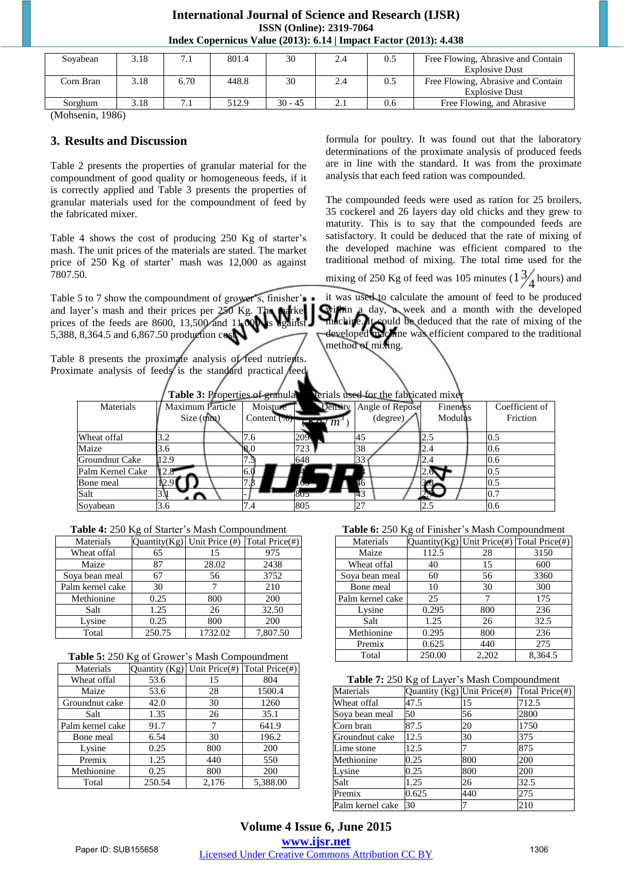# **International Journal of Science and Research (IJSR) ISSN (Online): 2319-7064 Index Copernicus Value (2013): 6.14 | Impact Factor (2013): 4.438**

| Sovabean  | ۔ 18 |      | 801.4 | 30        | 2.4 | 0.5 | Free Flowing, Abrasive and Contain |
|-----------|------|------|-------|-----------|-----|-----|------------------------------------|
|           |      |      |       |           |     |     | <b>Explosive Dust</b>              |
| Corn Bran | .18  | 6.70 | 448.8 | 30        | 2.4 | 0.5 | Free Flowing, Abrasive and Contain |
|           |      |      |       |           |     |     | <b>Explosive Dust</b>              |
| Sorghum   | .18  |      | 512.9 | $30 - 45$ |     | 0.6 | Free Flowing, and Abrasive         |

(Mohsenin, 1986)

### **3. Results and Discussion**

Table 2 presents the properties of granular material for the compoundment of good quality or homogeneous feeds, if it is correctly applied and Table 3 presents the properties of granular materials used for the compoundment of feed by the fabricated mixer.

Table 4 shows the cost of producing 250 Kg of starter's mash. The unit prices of the materials are stated. The market price of 250 Kg of starter' mash was 12,000 as against 7807.50.

Table 5 to 7 show the compoundment of grower's, finisher's and layer's mash and their prices per 250 Kg. The market prices of the feeds are 8600, 13,500 and 11,000 as against 5,388, 8,364.5 and 6,867.50 production cost.

Table 8 presents the proximate analysis of feed nutrients. Proximate analysis of feeds is the standard practical feed formula for poultry. It was found out that the laboratory determinations of the proximate analysis of produced feeds are in line with the standard. It was from the proximate analysis that each feed ration was compounded.

The compounded feeds were used as ration for 25 broilers, 35 cockerel and 26 layers day old chicks and they grew to maturity. This is to say that the compounded feeds are satisfactory. It could be deduced that the rate of mixing of the developed machine was efficient compared to the traditional method of mixing. The total time used for the

mixing of 250 Kg of feed was 105 minutes ( $\frac{13}{4}$  hours) and

it was used to calculate the amount of feed to be produced within a day, a week and a month with the developed machine. It could be deduced that the rate of mixing of the developed machine was efficient compared to the traditional method of mixing.

|  |  |  | Table 3: Properties of granular materials used for the fabricated mixer |  |
|--|--|--|-------------------------------------------------------------------------|--|
|  |  |  |                                                                         |  |

| Materials        | <b>Maximum Particle</b> | Moisture       |            | Bulk Density Angle of Repose | Fineness | Coefficient of |
|------------------|-------------------------|----------------|------------|------------------------------|----------|----------------|
|                  | Size (mm)               | Content $(\%)$ | $(Kg/m^3)$ | (degree)                     | Modulus  | Friction       |
| Wheat offal      |                         | 7.6            | 209        | 45                           | 2.2      | 0.5            |
| Maize            | 3.6                     | 8.0            | 723        | 38                           | 2.4      | 0.6            |
| Groundnut Cake   | 12.9                    |                | 648        | 33                           | 2.4      | 0.6            |
| Palm Kernel Cake | 12.8                    | 6.0            | 648        | 44                           | 2.6      | 0.5            |
| Bone meal        | 12.9                    |                | 163        | 46                           | 3.0      | 0.5            |
| Salt             | 3. I                    |                | 805        | 43                           | 2.1      |                |
| Soyabean         | 3.6                     | . . 4          | 805        | 27                           | 2.5      | 0.6            |

| Table 4: 250 Kg of Starter's Mash Compoundment |  |
|------------------------------------------------|--|
|------------------------------------------------|--|

| Materials        |        | Quantity $(Kg)$ Unit Price $(\#)$ | Total Price(#) |
|------------------|--------|-----------------------------------|----------------|
| Wheat offal      | 65     | 15                                | 975            |
| Maize            | 87     | 28.02                             | 2438           |
| Soya bean meal   | 67     | 56                                | 3752           |
| Palm kernel cake | 30     |                                   | 210            |
| Methionine       | 0.25   | 800                               | 200            |
| Salt             | 1.25   | 26                                | 32.50          |
| Lysine           | 0.25   | 800                               | 200            |
| Total            | 250.75 | 1732.02                           | 7.807.50       |

|  |  |  |  |  | Table 5: 250 Kg of Grower's Mash Compoundment |
|--|--|--|--|--|-----------------------------------------------|
|--|--|--|--|--|-----------------------------------------------|

| Materials        | Quantity (Kg) | Unit Price(#) | Total Price(#) |
|------------------|---------------|---------------|----------------|
| Wheat offal      | 53.6          | 15            | 804            |
| Maize            | 53.6          | 28            | 1500.4         |
| Groundnut cake   | 42.0          | 30            | 1260           |
| Salt             | 1.35          | 26            | 35.1           |
| Palm kernel cake | 91.7          | 7             | 641.9          |
| Bone meal        | 6.54          | 30            | 196.2          |
| Lysine           | 0.25          | 800           | 200            |
| Premix           | 1.25          | 440           | 550            |
| Methionine       | 0.25          | 800           | 200            |
| Total            | 250.54        | 2,176         | 5,388.00       |

**Table 6:** 250 Kg of Finisher's Mash Compoundment

|                  | <b>THERE</b> of $\frac{1}{200}$ is $\frac{1}{200}$ of Fig. $\frac{1}{200}$ in $\frac{1}{200}$ of $\frac{1}{200}$ in $\frac{1}{200}$ of $\frac{1}{200}$ |       |                                           |  |  |  |  |
|------------------|--------------------------------------------------------------------------------------------------------------------------------------------------------|-------|-------------------------------------------|--|--|--|--|
| Materials        |                                                                                                                                                        |       | Quantity(Kg) Unit Price(#) Total Price(#) |  |  |  |  |
| Maize            | 112.5                                                                                                                                                  | 28    | 3150                                      |  |  |  |  |
| Wheat offal      | 40                                                                                                                                                     | 15    | 600                                       |  |  |  |  |
| Soya bean meal   | 60                                                                                                                                                     | 56    | 3360                                      |  |  |  |  |
| Bone meal        | 10                                                                                                                                                     | 30    | 300                                       |  |  |  |  |
| Palm kernel cake | 25                                                                                                                                                     | 7     | 175                                       |  |  |  |  |
| Lysine           | 0.295                                                                                                                                                  | 800   | 236                                       |  |  |  |  |
| Salt             | 1.25                                                                                                                                                   | 26    | 32.5                                      |  |  |  |  |
| Methionine       | 0.295                                                                                                                                                  | 800   | 236                                       |  |  |  |  |
| Premix           | 0.625                                                                                                                                                  | 440   | 275                                       |  |  |  |  |
| Total            | 250.00                                                                                                                                                 | 2.202 | 8.364.5                                   |  |  |  |  |

**Table 7:** 250 Kg of Layer's Mash Compoundment

| Materials        | Quantity (Kg) Unit Price(#) |     | Total Price(#) |
|------------------|-----------------------------|-----|----------------|
| Wheat offal      | 47.5                        | 15  | 712.5          |
| Soya bean meal   | 50                          | 56  | 2800           |
| Corn bran        | 87.5                        | 20  | 1750           |
| lGroundnut cake  | 12.5                        | 30  | 375            |
| Lime stone       | 12.5                        |     | 875            |
| Methionine       | 0.25                        | 800 | 200            |
| Lysine           | 0.25                        | 800 | 200            |
| Salt             | 1.25                        | 26  | 32.5           |
| Premix           | 0.625                       | 440 | 275            |
| Palm kernel cake | 30                          |     | 210            |